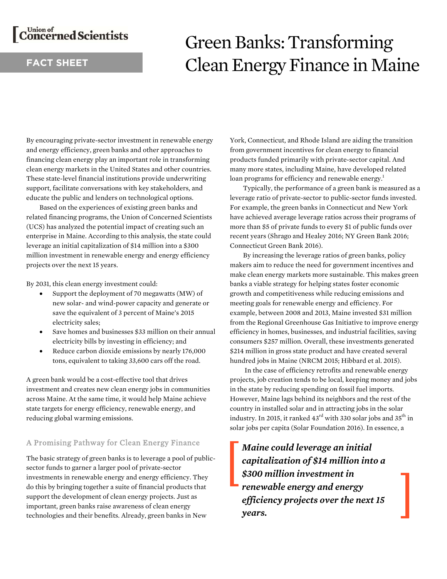# Concerned Scientists

# **FACT SHEET**

# Green Banks: Transforming Clean Energy Finance in Maine

By encouraging private-sector investment in renewable energy and energy efficiency, green banks and other approaches to financing clean energy play an important role in transforming clean energy markets in the United States and other countries. These state-level financial institutions provide underwriting support, facilitate conversations with key stakeholders, and educate the public and lenders on technological options.

Based on the experiences of existing green banks and related financing programs, the Union of Concerned Scientists (UCS) has analyzed the potential impact of creating such an enterprise in Maine. According to this analysis, the state could leverage an initial capitalization of \$14 million into a \$300 million investment in renewable energy and energy efficiency projects over the next 15 years.

By 2031, this clean energy investment could:

- Support the deployment of 70 megawatts (MW) of new solar- and wind-power capacity and generate or save the equivalent of 3 percent of Maine's 2015 electricity sales;
- Save homes and businesses \$33 million on their annual electricity bills by investing in efficiency; and
- Reduce carbon dioxide emissions by nearly 176,000 tons, equivalent to taking 33,600 cars off the road.

A green bank would be a cost-effective tool that drives investment and creates new clean energy jobs in communities across Maine. At the same time, it would help Maine achieve state targets for energy efficiency, renewable energy, and reducing global warming emissions.

# A Promising Pathway for Clean Energy Finance

The basic strategy of green banks is to leverage a pool of publicsector funds to garner a larger pool of private-sector investments in renewable energy and energy efficiency. They do this by bringing together a suite of financial products that support the development of clean energy projects. Just as important, green banks raise awareness of clean energy technologies and their benefits. Already, green banks in New

York, Connecticut, and Rhode Island are aiding the transition from government incentives for clean energy to financial products funded primarily with private-sector capital. And many more states, including Maine, have developed related loan programs for efficiency and renewable energy.<sup>1</sup>

Typically, the performance of a green bank is measured as a leverage ratio of private-sector to public-sector funds invested. For example, the green banks in Connecticut and New York have achieved average leverage ratios across their programs of more than \$5 of private funds to every \$1 of public funds over recent years (Shrago and Healey 2016; NY Green Bank 2016; Connecticut Green Bank 2016).

 By increasing the leverage ratios of green banks, policy makers aim to reduce the need for government incentives and make clean energy markets more sustainable. This makes green banks a viable strategy for helping states foster economic growth and competitiveness while reducing emissions and meeting goals for renewable energy and efficiency. For example, between 2008 and 2013, Maine invested \$31 million from the Regional Greenhouse Gas Initiative to improve energy efficiency in homes, businesses, and industrial facilities, saving consumers \$257 million. Overall, these investments generated \$214 million in gross state product and have created several hundred jobs in Maine (NRCM 2015; Hibbard et al. 2015).

 In the case of efficiency retrofits and renewable energy projects, job creation tends to be local, keeping money and jobs in the state by reducing spending on fossil fuel imports. However, Maine lags behind its neighbors and the rest of the country in installed solar and in attracting jobs in the solar industry. In 2015, it ranked  $43<sup>rd</sup>$  with 330 solar jobs and 35<sup>th</sup> in solar jobs per capita (Solar Foundation 2016). In essence, a

*Maine could leverage an initial capitalization of \$14 million into a \$300 million investment in renewable energy and energy efficiency projects over the next 15 years.*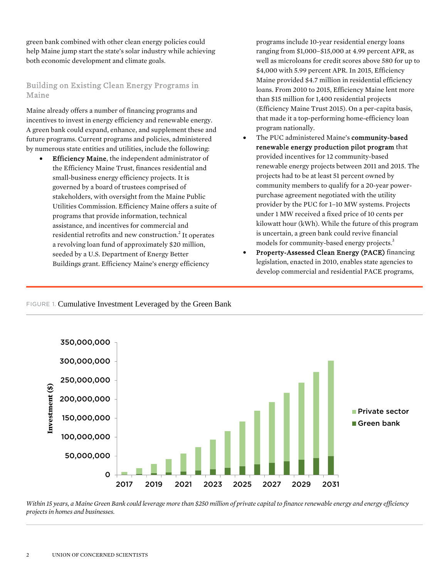green bank combined with other clean energy policies could help Maine jump start the state's solar industry while achieving both economic development and climate goals.

# Building on Existing Clean Energy Programs in Maine

Maine already offers a number of financing programs and incentives to invest in energy efficiency and renewable energy. A green bank could expand, enhance, and supplement these and future programs. Current programs and policies, administered by numerous state entities and utilities, include the following:

 Efficiency Maine, the independent administrator of the Efficiency Maine Trust, finances residential and small-business energy efficiency projects. It is governed by a board of trustees comprised of stakeholders, with oversight from the Maine Public Utilities Commission. Efficiency Maine offers a suite of programs that provide information, technical assistance, and incentives for commercial and residential retrofits and new construction.<sup>2</sup> It operates a revolving loan fund of approximately \$20 million, seeded by a U.S. Department of Energy Better Buildings grant. Efficiency Maine's energy efficiency

programs include 10-year residential energy loans ranging from \$1,000–\$15,000 at 4.99 percent APR, as well as microloans for credit scores above 580 for up to \$4,000 with 5.99 percent APR. In 2015, Efficiency Maine provided \$4.7 million in residential efficiency loans. From 2010 to 2015, Efficiency Maine lent more than \$15 million for 1,400 residential projects (Efficiency Maine Trust 2015). On a per-capita basis, that made it a top-performing home-efficiency loan program nationally.

- The PUC administered Maine's community-based renewable energy production pilot program that provided incentives for 12 community-based renewable energy projects between 2011 and 2015. The projects had to be at least 51 percent owned by community members to qualify for a 20-year powerpurchase agreement negotiated with the utility provider by the PUC for 1–10 MW systems. Projects under 1 MW received a fixed price of 10 cents per kilowatt hour (kWh). While the future of this program is uncertain, a green bank could revive financial models for community-based energy projects.<sup>3</sup>
- Property-Assessed Clean Energy (PACE) financing legislation, enacted in 2010, enables state agencies to develop commercial and residential PACE programs,

# FIGURE 1. Cumulative Investment Leveraged by the Green Bank



*Within 15 years, a Maine Green Bank could leverage more than \$250 million of private capital to finance renewable energy and energy efficiency projects in homes and businesses.*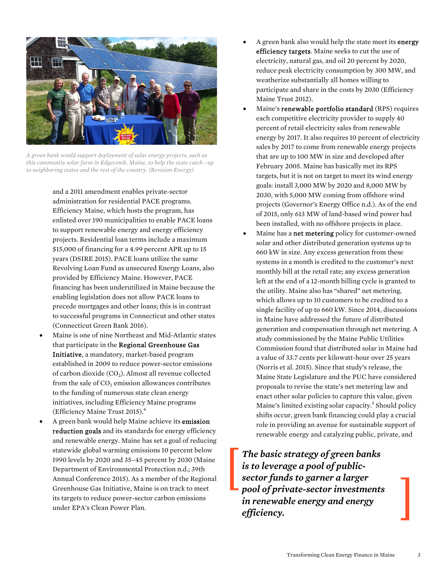

*A green bank would support deployment of solar energy projects, such as this community solar farm in Edgecomb, Maine, to help the state catch –up to neighboring states and the rest of the country. (Revision Energy)* 

and a 2011 amendment enables private-sector administration for residential PACE programs. Efficiency Maine, which hosts the program, has enlisted over 190 municipalities to enable PACE loans to support renewable energy and energy efficiency projects. Residential loan terms include a maximum \$15,000 of financing for a 4.99 percent APR up to 15 years (DSIRE 2015). PACE loans utilize the same Revolving Loan Fund as unsecured Energy Loans, also provided by Efficiency Maine. However, PACE financing has been underutilized in Maine because the enabling legislation does not allow PACE loans to precede mortgages and other loans; this is in contrast to successful programs in Connecticut and other states (Connecticut Green Bank 2016).

- Maine is one of nine Northeast and Mid-Atlantic states that participate in the Regional Greenhouse Gas Initiative, a mandatory, market-based program established in 2009 to reduce power-sector emissions of carbon dioxide  $(CO<sub>2</sub>)$ . Almost all revenue collected from the sale of  $CO<sub>2</sub>$  emission allowances contributes to the funding of numerous state clean energy initiatives, including Efficiency Maine programs (Efficiency Maine Trust 2015).<sup>4</sup>
- A green bank would help Maine achieve its emission reduction goals and its standards for energy efficiency and renewable energy. Maine has set a goal of reducing statewide global warming emissions 10 percent below 1990 levels by 2020 and 35–45 percent by 2030 (Maine Department of Environmental Protection n.d.; 39th Annual Conference 2015). As a member of the Regional Greenhouse Gas Initiative, Maine is on track to meet its targets to reduce power-sector carbon emissions under EPA's Clean Power Plan.
- A green bank also would help the state meet its energy efficiency targets. Maine seeks to cut the use of electricity, natural gas, and oil 20 percent by 2020, reduce peak electricity consumption by 300 MW, and weatherize substantially all homes willing to participate and share in the costs by 2030 (Efficiency Maine Trust 2012).
- Maine's renewable portfolio standard (RPS) requires each competitive electricity provider to supply 40 percent of retail electricity sales from renewable energy by 2017. It also requires 10 percent of electricity sales by 2017 to come from renewable energy projects that are up to 100 MW in size and developed after February 2005. Maine has basically met its RPS targets, but it is not on target to meet its wind energy goals: install 3,000 MW by 2020 and 8,000 MW by 2030, with 5,000 MW coming from offshore wind projects (Governor's Energy Office n.d.). As of the end of 2015, only 613 MW of land-based wind power had been installed, with no offshore projects in place.
- Maine has a net metering policy for customer-owned solar and other distributed generation systems up to 660 kW in size. Any excess generation from these systems in a month is credited to the customer's next monthly bill at the retail rate; any excess generation left at the end of a 12-month billing cycle is granted to the utility. Maine also has "shared" net metering, which allows up to 10 customers to be credited to a single facility of up to 660 kW. Since 2014, discussions in Maine have addressed the future of distributed generation and compensation through net metering. A study commissioned by the Maine Public Utilities Commission found that distributed solar in Maine had a value of 33.7 cents per kilowatt-hour over 25 years (Norris et al. 2015). Since that study's release, the Maine State Legislature and the PUC have considered proposals to revise the state's net metering law and enact other solar policies to capture this value, given Maine's limited existing solar capacity.<sup>5</sup> Should policy shifts occur, green bank financing could play a crucial role in providing an avenue for sustainable support of renewable energy and catalyzing public, private, and

*The basic strategy of green banks is to leverage a pool of publicsector funds to garner a larger pool of private-sector investments in renewable energy and energy efficiency.*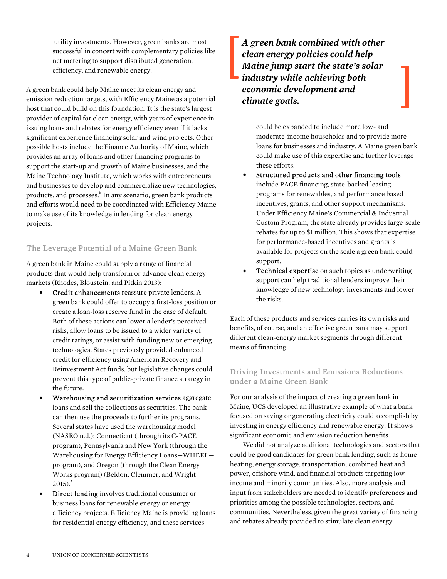utility investments. However, green banks are most successful in concert with complementary policies like net metering to support distributed generation, efficiency, and renewable energy.

A green bank could help Maine meet its clean energy and emission reduction targets, with Efficiency Maine as a potential host that could build on this foundation. It is the state's largest provider of capital for clean energy, with years of experience in issuing loans and rebates for energy efficiency even if it lacks significant experience financing solar and wind projects. Other possible hosts include the Finance Authority of Maine, which provides an array of loans and other financing programs to support the start-up and growth of Maine businesses, and the Maine Technology Institute, which works with entrepreneurs and businesses to develop and commercialize new technologies, products, and processes.<sup>6</sup> In any scenario, green bank products and efforts would need to be coordinated with Efficiency Maine to make use of its knowledge in lending for clean energy projects.

## The Leverage Potential of a Maine Green Bank

A green bank in Maine could supply a range of financial products that would help transform or advance clean energy markets (Rhodes, Bloustein, and Pitkin 2013):

- Credit enhancements reassure private lenders. A green bank could offer to occupy a first-loss position or create a loan-loss reserve fund in the case of default. Both of these actions can lower a lender's perceived risks, allow loans to be issued to a wider variety of credit ratings, or assist with funding new or emerging technologies. States previously provided enhanced credit for efficiency using American Recovery and Reinvestment Act funds, but legislative changes could prevent this type of public-private finance strategy in the future.
- Warehousing and securitization services aggregate loans and sell the collections as securities. The bank can then use the proceeds to further its programs. Several states have used the warehousing model (NASEO n.d.): Connecticut (through its C-PACE program), Pennsylvania and New York (through the Warehousing for Energy Efficiency Loans—WHEEL program), and Oregon (through the Clean Energy Works program) (Beldon, Clemmer, and Wright  $2015$ ).<sup>7</sup>
- Direct lending involves traditional consumer or business loans for renewable energy or energy efficiency projects. Efficiency Maine is providing loans for residential energy efficiency, and these services

*A green bank combined with other clean energy policies could help Maine jump start the state's solar industry while achieving both economic development and climate goals.* 

> could be expanded to include more low- and moderate-income households and to provide more loans for businesses and industry. A Maine green bank could make use of this expertise and further leverage these efforts.

- Structured products and other financing tools include PACE financing, state-backed leasing programs for renewables, and performance based incentives, grants, and other support mechanisms. Under Efficiency Maine's Commercial & Industrial Custom Program, the state already provides large-scale rebates for up to \$1 million. This shows that expertise for performance-based incentives and grants is available for projects on the scale a green bank could support.
- Technical expertise on such topics as underwriting support can help traditional lenders improve their knowledge of new technology investments and lower the risks.

Each of these products and services carries its own risks and benefits, of course, and an effective green bank may support different clean-energy market segments through different means of financing.

# Driving Investments and Emissions Reductions under a Maine Green Bank

For our analysis of the impact of creating a green bank in Maine, UCS developed an illustrative example of what a bank focused on saving or generating electricity could accomplish by investing in energy efficiency and renewable energy. It shows significant economic and emission reduction benefits.

 We did not analyze additional technologies and sectors that could be good candidates for green bank lending, such as home heating, energy storage, transportation, combined heat and power, offshore wind, and financial products targeting lowincome and minority communities. Also, more analysis and input from stakeholders are needed to identify preferences and priorities among the possible technologies, sectors, and communities. Nevertheless, given the great variety of financing and rebates already provided to stimulate clean energy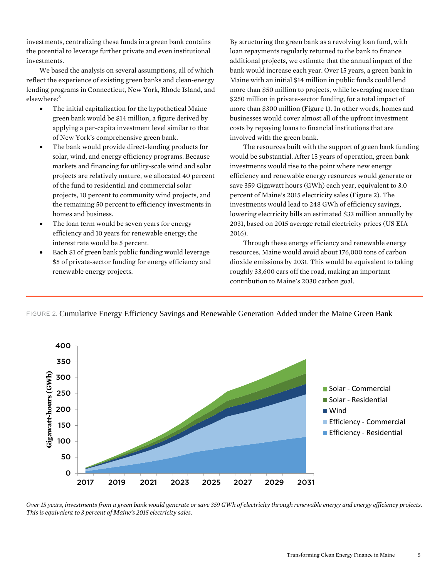investments, centralizing these funds in a green bank contains the potential to leverage further private and even institutional investments.

We based the analysis on several assumptions, all of which reflect the experience of existing green banks and clean-energy lending programs in Connecticut, New York, Rhode Island, and elsewhere:<sup>8</sup>

- The initial capitalization for the hypothetical Maine green bank would be \$14 million, a figure derived by applying a per-capita investment level similar to that of New York's comprehensive green bank.
- The bank would provide direct-lending products for solar, wind, and energy efficiency programs. Because markets and financing for utility-scale wind and solar projects are relatively mature, we allocated 40 percent of the fund to residential and commercial solar projects, 10 percent to community wind projects, and the remaining 50 percent to efficiency investments in homes and business.
- The loan term would be seven years for energy efficiency and 10 years for renewable energy; the interest rate would be 5 percent.
- Each \$1 of green bank public funding would leverage \$5 of private-sector funding for energy efficiency and renewable energy projects.

By structuring the green bank as a revolving loan fund, with loan repayments regularly returned to the bank to finance additional projects, we estimate that the annual impact of the bank would increase each year. Over 15 years, a green bank in Maine with an initial \$14 million in public funds could lend more than \$50 million to projects, while leveraging more than \$250 million in private-sector funding, for a total impact of more than \$300 million (Figure 1). In other words, homes and businesses would cover almost all of the upfront investment costs by repaying loans to financial institutions that are involved with the green bank.

 The resources built with the support of green bank funding would be substantial. After 15 years of operation, green bank investments would rise to the point where new energy efficiency and renewable energy resources would generate or save 359 Gigawatt hours (GWh) each year, equivalent to 3.0 percent of Maine's 2015 electricity sales (Figure 2). The investments would lead to 248 GWh of efficiency savings, lowering electricity bills an estimated \$33 million annually by 2031, based on 2015 average retail electricity prices (US EIA 2016).

Through these energy efficiency and renewable energy resources, Maine would avoid about 176,000 tons of carbon dioxide emissions by 2031. This would be equivalent to taking roughly 33,600 cars off the road, making an important contribution to Maine's 2030 carbon goal.



FIGURE 2. Cumulative Energy Efficiency Savings and Renewable Generation Added under the Maine Green Bank

*Over 15 years, investments from a green bank would generate or save 359 GWh of electricity through renewable energy and energy efficiency projects. This is equivalent to 3 percent of Maine's 2015 electricity sales.*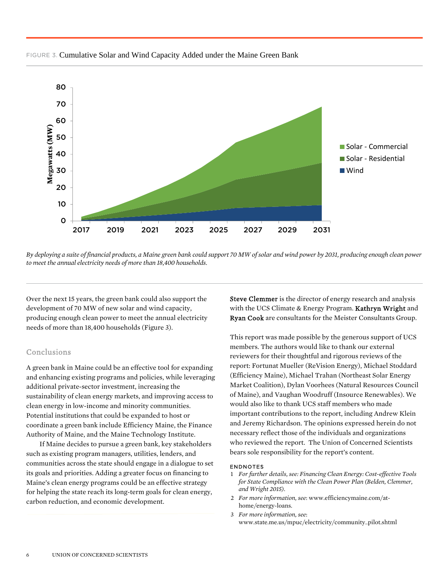

#### FIGURE 3. Cumulative Solar and Wind Capacity Added under the Maine Green Bank

Over the next 15 years, the green bank could also support the development of 70 MW of new solar and wind capacity, producing enough clean power to meet the annual electricity needs of more than 18,400 households (Figure 3).

## Conclusions

A green bank in Maine could be an effective tool for expanding and enhancing existing programs and policies, while leveraging additional private-sector investment, increasing the sustainability of clean energy markets, and improving access to clean energy in low-income and minority communities. Potential institutions that could be expanded to host or coordinate a green bank include Efficiency Maine, the Finance Authority of Maine, and the Maine Technology Institute.

 If Maine decides to pursue a green bank, key stakeholders such as existing program managers, utilities, lenders, and communities across the state should engage in a dialogue to set its goals and priorities. Adding a greater focus on financing to Maine's clean energy programs could be an effective strategy for helping the state reach its long-term goals for clean energy, carbon reduction, and economic development.

Steve Clemmer is the director of energy research and analysis with the UCS Climate & Energy Program. Kathryn Wright and Ryan Cook are consultants for the Meister Consultants Group.

This report was made possible by the generous support of UCS members. The authors would like to thank our external reviewers for their thoughtful and rigorous reviews of the report: Fortunat Mueller (ReVision Energy), Michael Stoddard (Efficiency Maine), Michael Trahan (Northeast Solar Energy Market Coalition), Dylan Voorhees (Natural Resources Council of Maine), and Vaughan Woodruff (Insource Renewables). We would also like to thank UCS staff members who made important contributions to the report, including Andrew Klein and Jeremy Richardson. The opinions expressed herein do not necessary reflect those of the individuals and organizations who reviewed the report. The Union of Concerned Scientists bears sole responsibility for the report's content.

#### ENDNOTES

- 1 *For further details, see: Financing Clean Energy: Cost-effective Tools for State Compliance with the Clean Power Plan (Belden, Clemmer, and Wright 2015).*
- 2 *For more information, see*: www.efficiencymaine.com/athome/energy-loans.
- 3 *For more information, see*: www.state.me.us/mpuc/electricity/community\_pilot.shtml

*By deploying a suite of financial products, a Maine green bank could support 70 MW of solar and wind power by 2031, producing enough clean power to meet the annual electricity needs of more than 18,400 households.*